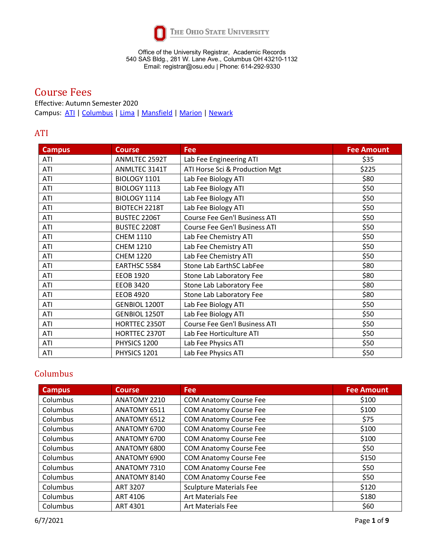

# Course Fees

Effective: Autumn Semester 2020 Campus: [ATI](#page-0-0) | [Columbus](#page-0-1) | [Lima](#page-4-0) | [Mansfield](#page-5-0) [| Marion](#page-6-0) | [Newark](#page-7-0)

### <span id="page-0-0"></span>ATI

| <b>Campus</b> | <b>Course</b>        | <b>Fee</b>                           | <b>Fee Amount</b> |
|---------------|----------------------|--------------------------------------|-------------------|
| ATI           | ANMLTEC 2592T        | Lab Fee Engineering ATI              | \$35              |
| ATI           | ANMLTEC 3141T        | ATI Horse Sci & Production Mgt       | \$225             |
| ATI           | BIOLOGY 1101         | Lab Fee Biology ATI                  | \$80              |
| ATI           | BIOLOGY 1113         | Lab Fee Biology ATI                  | \$50              |
| ATI           | BIOLOGY 1114         | Lab Fee Biology ATI                  | \$50              |
| ATI           | BIOTECH 2218T        | Lab Fee Biology ATI                  | \$50              |
| ATI           | BUSTEC 2206T         | <b>Course Fee Gen'l Business ATI</b> | \$50              |
| ATI           | <b>BUSTEC 2208T</b>  | Course Fee Gen'l Business ATI        | \$50              |
| ATI           | <b>CHEM 1110</b>     | Lab Fee Chemistry ATI                | \$50              |
| ATI           | <b>CHEM 1210</b>     | Lab Fee Chemistry ATI                | \$50              |
| ATI           | <b>CHEM 1220</b>     | Lab Fee Chemistry ATI                | \$50              |
| ATI           | EARTHSC 5584         | Stone Lab EarthSC LabFee             | \$80              |
| ATI           | <b>EEOB 1920</b>     | Stone Lab Laboratory Fee             | \$80              |
| ATI           | <b>EEOB 3420</b>     | Stone Lab Laboratory Fee             | \$80              |
| ATI           | <b>EEOB 4920</b>     | Stone Lab Laboratory Fee             | \$80              |
| ATI           | <b>GENBIOL 1200T</b> | Lab Fee Biology ATI                  | \$50              |
| ATI           | <b>GENBIOL 1250T</b> | Lab Fee Biology ATI                  | \$50              |
| ATI           | HORTTEC 2350T        | Course Fee Gen'l Business ATI        | \$50              |
| ATI           | HORTTEC 2370T        | Lab Fee Horticulture ATI             | \$50              |
| ATI           | PHYSICS 1200         | Lab Fee Physics ATI                  | \$50              |
| ATI           | PHYSICS 1201         | Lab Fee Physics ATI                  | \$50              |

## <span id="page-0-1"></span>Columbus

| <b>Campus</b> | <b>Course</b> | <b>Fee</b>                     | <b>Fee Amount</b> |
|---------------|---------------|--------------------------------|-------------------|
| Columbus      | ANATOMY 2210  | <b>COM Anatomy Course Fee</b>  | \$100             |
| Columbus      | ANATOMY 6511  | <b>COM Anatomy Course Fee</b>  | \$100             |
| Columbus      | ANATOMY 6512  | <b>COM Anatomy Course Fee</b>  | \$75              |
| Columbus      | ANATOMY 6700  | <b>COM Anatomy Course Fee</b>  | \$100             |
| Columbus      | ANATOMY 6700  | <b>COM Anatomy Course Fee</b>  | \$100             |
| Columbus      | ANATOMY 6800  | <b>COM Anatomy Course Fee</b>  | \$50              |
| Columbus      | ANATOMY 6900  | <b>COM Anatomy Course Fee</b>  | \$150             |
| Columbus      | ANATOMY 7310  | <b>COM Anatomy Course Fee</b>  | \$50              |
| Columbus      | ANATOMY 8140  | <b>COM Anatomy Course Fee</b>  | \$50              |
| Columbus      | ART 3207      | <b>Sculpture Materials Fee</b> | \$120             |
| Columbus      | ART 4106      | <b>Art Materials Fee</b>       | \$180             |
| Columbus      | ART 4301      | <b>Art Materials Fee</b>       | \$60              |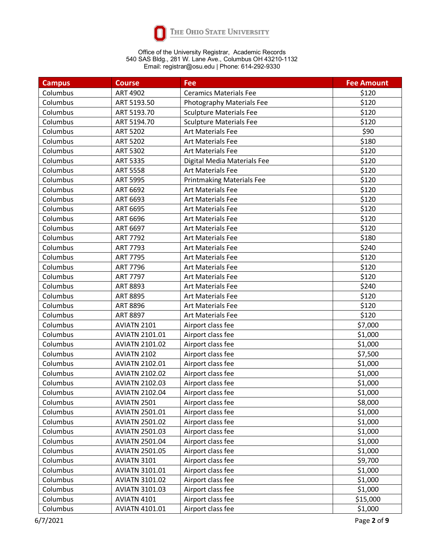

| <b>Campus</b> | <b>Course</b>         | <b>Fee</b>                       | <b>Fee Amount</b> |
|---------------|-----------------------|----------------------------------|-------------------|
| Columbus      | <b>ART 4902</b>       | <b>Ceramics Materials Fee</b>    | \$120             |
| Columbus      | ART 5193.50           | Photography Materials Fee        | \$120             |
| Columbus      | ART 5193.70           | <b>Sculpture Materials Fee</b>   | \$120             |
| Columbus      | ART 5194.70           | <b>Sculpture Materials Fee</b>   | \$120             |
| Columbus      | <b>ART 5202</b>       | Art Materials Fee                | \$90              |
| Columbus      | <b>ART 5202</b>       | <b>Art Materials Fee</b>         | \$180             |
| Columbus      | <b>ART 5302</b>       | Art Materials Fee                | \$120             |
| Columbus      | <b>ART 5335</b>       | Digital Media Materials Fee      | \$120             |
| Columbus      | <b>ART 5558</b>       | <b>Art Materials Fee</b>         | \$120             |
| Columbus      | <b>ART 5995</b>       | <b>Printmaking Materials Fee</b> | \$120             |
| Columbus      | ART 6692              | <b>Art Materials Fee</b>         | \$120             |
| Columbus      | ART 6693              | <b>Art Materials Fee</b>         | \$120             |
| Columbus      | ART 6695              | Art Materials Fee                | \$120             |
| Columbus      | ART 6696              | <b>Art Materials Fee</b>         | \$120             |
| Columbus      | ART 6697              | Art Materials Fee                | \$120             |
| Columbus      | <b>ART 7792</b>       | <b>Art Materials Fee</b>         | \$180             |
| Columbus      | ART 7793              | <b>Art Materials Fee</b>         | \$240             |
| Columbus      | <b>ART 7795</b>       | <b>Art Materials Fee</b>         | \$120             |
| Columbus      | <b>ART 7796</b>       | <b>Art Materials Fee</b>         | \$120             |
| Columbus      | <b>ART 7797</b>       | Art Materials Fee                | \$120             |
| Columbus      | ART 8893              | <b>Art Materials Fee</b>         | \$240             |
| Columbus      | ART 8895              | <b>Art Materials Fee</b>         | \$120             |
| Columbus      | <b>ART 8896</b>       | <b>Art Materials Fee</b>         | \$120             |
| Columbus      | <b>ART 8897</b>       | <b>Art Materials Fee</b>         | \$120             |
| Columbus      | AVIATN 2101           | Airport class fee                | \$7,000           |
| Columbus      | <b>AVIATN 2101.01</b> | Airport class fee                | \$1,000           |
| Columbus      | <b>AVIATN 2101.02</b> | Airport class fee                | \$1,000           |
| Columbus      | AVIATN 2102           | Airport class fee                | \$7,500           |
| Columbus      | <b>AVIATN 2102.01</b> | Airport class fee                | \$1,000           |
| Columbus      | <b>AVIATN 2102.02</b> | Airport class fee                | \$1,000           |
| Columbus      | <b>AVIATN 2102.03</b> | Airport class fee                | \$1,000           |
| Columbus      | <b>AVIATN 2102.04</b> | Airport class fee                | \$1,000           |
| Columbus      | AVIATN 2501           | Airport class fee                | \$8,000           |
| Columbus      | <b>AVIATN 2501.01</b> | Airport class fee                | \$1,000           |
| Columbus      | <b>AVIATN 2501.02</b> | Airport class fee                | \$1,000           |
| Columbus      | <b>AVIATN 2501.03</b> | Airport class fee                | \$1,000           |
| Columbus      | <b>AVIATN 2501.04</b> | Airport class fee                | \$1,000           |
| Columbus      | <b>AVIATN 2501.05</b> | Airport class fee                | \$1,000           |
| Columbus      | AVIATN 3101           | Airport class fee                | \$9,700           |
| Columbus      | <b>AVIATN 3101.01</b> | Airport class fee                | \$1,000           |
| Columbus      | <b>AVIATN 3101.02</b> | Airport class fee                | \$1,000           |
| Columbus      | <b>AVIATN 3101.03</b> | Airport class fee                | \$1,000           |
| Columbus      | AVIATN 4101           | Airport class fee                | \$15,000          |
| Columbus      | <b>AVIATN 4101.01</b> | Airport class fee                | \$1,000           |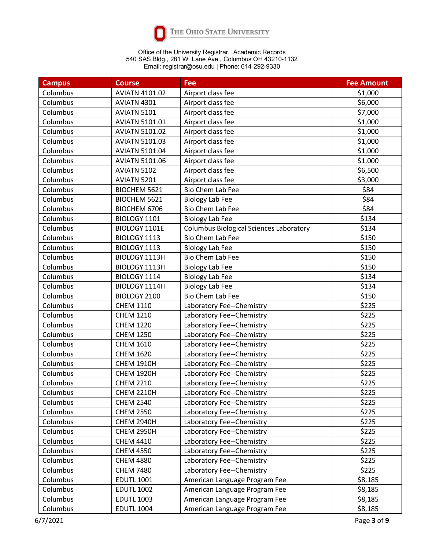

| <b>Campus</b> | <b>Course</b>         | Fee                                            | <b>Fee Amount</b> |
|---------------|-----------------------|------------------------------------------------|-------------------|
| Columbus      | <b>AVIATN 4101.02</b> | Airport class fee                              | \$1,000           |
| Columbus      | AVIATN 4301           | Airport class fee                              | \$6,000           |
| Columbus      | AVIATN 5101           | Airport class fee                              | \$7,000           |
| Columbus      | <b>AVIATN 5101.01</b> | Airport class fee                              | \$1,000           |
| Columbus      | <b>AVIATN 5101.02</b> | Airport class fee                              | \$1,000           |
| Columbus      | <b>AVIATN 5101.03</b> | Airport class fee                              | \$1,000           |
| Columbus      | <b>AVIATN 5101.04</b> | Airport class fee                              | \$1,000           |
| Columbus      | <b>AVIATN 5101.06</b> | Airport class fee                              | \$1,000           |
| Columbus      | AVIATN 5102           | Airport class fee                              | \$6,500           |
| Columbus      | AVIATN 5201           | Airport class fee                              | \$3,000           |
| Columbus      | BIOCHEM 5621          | Bio Chem Lab Fee                               | \$84              |
| Columbus      | BIOCHEM 5621          | <b>Biology Lab Fee</b>                         | \$84              |
| Columbus      | BIOCHEM 6706          | Bio Chem Lab Fee                               | \$84              |
| Columbus      | BIOLOGY 1101          | <b>Biology Lab Fee</b>                         | \$134             |
| Columbus      | BIOLOGY 1101E         | <b>Columbus Biological Sciences Laboratory</b> | \$134             |
| Columbus      | BIOLOGY 1113          | Bio Chem Lab Fee                               | \$150             |
| Columbus      | BIOLOGY 1113          | <b>Biology Lab Fee</b>                         | \$150             |
| Columbus      | BIOLOGY 1113H         | Bio Chem Lab Fee                               | \$150             |
| Columbus      | BIOLOGY 1113H         | <b>Biology Lab Fee</b>                         | \$150             |
| Columbus      | BIOLOGY 1114          | <b>Biology Lab Fee</b>                         | \$134             |
| Columbus      | BIOLOGY 1114H         | <b>Biology Lab Fee</b>                         | \$134             |
| Columbus      | BIOLOGY 2100          | Bio Chem Lab Fee                               | \$150             |
| Columbus      | <b>CHEM 1110</b>      | Laboratory Fee--Chemistry                      | \$225             |
| Columbus      | <b>CHEM 1210</b>      | Laboratory Fee--Chemistry                      | \$225             |
| Columbus      | <b>CHEM 1220</b>      | Laboratory Fee--Chemistry                      | \$225             |
| Columbus      | <b>CHEM 1250</b>      | Laboratory Fee--Chemistry                      | \$225             |
| Columbus      | <b>CHEM 1610</b>      | Laboratory Fee--Chemistry                      | \$225             |
| Columbus      | <b>CHEM 1620</b>      | Laboratory Fee--Chemistry                      | \$225             |
| Columbus      | <b>CHEM 1910H</b>     | Laboratory Fee--Chemistry                      | \$225             |
| Columbus      | <b>CHEM 1920H</b>     | Laboratory Fee--Chemistry                      | \$225             |
| Columbus      | <b>CHEM 2210</b>      | Laboratory Fee--Chemistry                      | \$225             |
| Columbus      | <b>CHEM 2210H</b>     | Laboratory Fee--Chemistry                      | \$225             |
| Columbus      | <b>CHEM 2540</b>      | Laboratory Fee--Chemistry                      | \$225             |
| Columbus      | <b>CHEM 2550</b>      | Laboratory Fee--Chemistry                      | \$225             |
| Columbus      | <b>CHEM 2940H</b>     | Laboratory Fee--Chemistry                      | \$225             |
| Columbus      | <b>CHEM 2950H</b>     | Laboratory Fee--Chemistry                      | \$225             |
| Columbus      | <b>CHEM 4410</b>      | Laboratory Fee--Chemistry                      | \$225             |
| Columbus      | <b>CHEM 4550</b>      | Laboratory Fee--Chemistry                      | \$225             |
| Columbus      | <b>CHEM 4880</b>      | Laboratory Fee--Chemistry                      | \$225             |
| Columbus      | <b>CHEM 7480</b>      | Laboratory Fee--Chemistry                      | \$225             |
| Columbus      | <b>EDUTL 1001</b>     | American Language Program Fee                  | \$8,185           |
| Columbus      | <b>EDUTL 1002</b>     | American Language Program Fee                  | \$8,185           |
| Columbus      | <b>EDUTL 1003</b>     | American Language Program Fee                  | \$8,185           |
| Columbus      | <b>EDUTL 1004</b>     | American Language Program Fee                  | \$8,185           |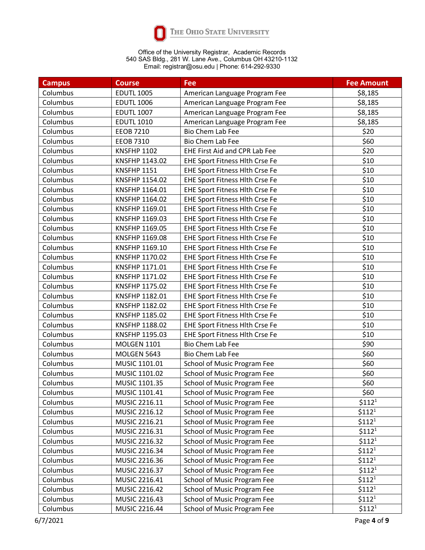

| <b>Campus</b> | <b>Course</b>      | Fee                                   | <b>Fee Amount</b>  |
|---------------|--------------------|---------------------------------------|--------------------|
| Columbus      | <b>EDUTL 1005</b>  | American Language Program Fee         | \$8,185            |
| Columbus      | <b>EDUTL 1006</b>  | American Language Program Fee         | \$8,185            |
| Columbus      | <b>EDUTL 1007</b>  | American Language Program Fee         | \$8,185            |
| Columbus      | <b>EDUTL 1010</b>  | American Language Program Fee         | \$8,185            |
| Columbus      | <b>EEOB 7210</b>   | Bio Chem Lab Fee                      | \$20               |
| Columbus      | <b>EEOB 7310</b>   | <b>Bio Chem Lab Fee</b>               | \$60               |
| Columbus      | <b>KNSFHP 1102</b> | <b>EHE First Aid and CPR Lab Fee</b>  | \$20               |
| Columbus      | KNSFHP 1143.02     | <b>EHE Sport Fitness Hlth Crse Fe</b> | \$10               |
| Columbus      | <b>KNSFHP 1151</b> | <b>EHE Sport Fitness Hlth Crse Fe</b> | \$10               |
| Columbus      | KNSFHP 1154.02     | EHE Sport Fitness Hlth Crse Fe        | \$10               |
| Columbus      | KNSFHP 1164.01     | EHE Sport Fitness Hlth Crse Fe        | \$10               |
| Columbus      | KNSFHP 1164.02     | EHE Sport Fitness Hlth Crse Fe        | \$10               |
| Columbus      | KNSFHP 1169.01     | EHE Sport Fitness Hlth Crse Fe        | \$10               |
| Columbus      | KNSFHP 1169.03     | EHE Sport Fitness Hlth Crse Fe        | \$10               |
| Columbus      | KNSFHP 1169.05     | EHE Sport Fitness Hlth Crse Fe        | \$10               |
| Columbus      | KNSFHP 1169.08     | EHE Sport Fitness Hlth Crse Fe        | \$10               |
| Columbus      | KNSFHP 1169.10     | EHE Sport Fitness Hlth Crse Fe        | \$10               |
| Columbus      | KNSFHP 1170.02     | <b>EHE Sport Fitness Hlth Crse Fe</b> | \$10               |
| Columbus      | KNSFHP 1171.01     | EHE Sport Fitness Hlth Crse Fe        | \$10               |
| Columbus      | KNSFHP 1171.02     | EHE Sport Fitness Hlth Crse Fe        | \$10               |
| Columbus      | KNSFHP 1175.02     | EHE Sport Fitness Hlth Crse Fe        | \$10               |
| Columbus      | KNSFHP 1182.01     | EHE Sport Fitness Hlth Crse Fe        | \$10               |
| Columbus      | KNSFHP 1182.02     | EHE Sport Fitness Hlth Crse Fe        | \$10               |
| Columbus      | KNSFHP 1185.02     | EHE Sport Fitness Hlth Crse Fe        | \$10               |
| Columbus      | KNSFHP 1188.02     | EHE Sport Fitness Hlth Crse Fe        | \$10               |
| Columbus      | KNSFHP 1195.03     | EHE Sport Fitness Hlth Crse Fe        | \$10               |
| Columbus      | <b>MOLGEN 1101</b> | <b>Bio Chem Lab Fee</b>               | \$90               |
| Columbus      | MOLGEN 5643        | Bio Chem Lab Fee                      | \$60               |
| Columbus      | MUSIC 1101.01      | School of Music Program Fee           | \$60               |
| Columbus      | MUSIC 1101.02      | School of Music Program Fee           | \$60               |
| Columbus      | MUSIC 1101.35      | School of Music Program Fee           | \$60               |
| Columbus      | MUSIC 1101.41      | School of Music Program Fee           | \$60               |
| Columbus      | MUSIC 2216.11      | School of Music Program Fee           | \$112 <sup>1</sup> |
| Columbus      | MUSIC 2216.12      | School of Music Program Fee           | $$112^1$           |
| Columbus      | MUSIC 2216.21      | School of Music Program Fee           | \$112 <sup>1</sup> |
| Columbus      | MUSIC 2216.31      | School of Music Program Fee           | \$112 <sup>1</sup> |
| Columbus      | MUSIC 2216.32      | School of Music Program Fee           | $$112^1$           |
| Columbus      | MUSIC 2216.34      | School of Music Program Fee           | $$112^1$           |
| Columbus      | MUSIC 2216.36      | School of Music Program Fee           | \$112 <sup>1</sup> |
| Columbus      | MUSIC 2216.37      | School of Music Program Fee           | $$112^1$           |
| Columbus      | MUSIC 2216.41      | School of Music Program Fee           | \$112 <sup>1</sup> |
| Columbus      | MUSIC 2216.42      | School of Music Program Fee           | \$112 <sup>1</sup> |
| Columbus      | MUSIC 2216.43      | School of Music Program Fee           | \$112 <sup>1</sup> |
| Columbus      | MUSIC 2216.44      | School of Music Program Fee           | $$112^1$           |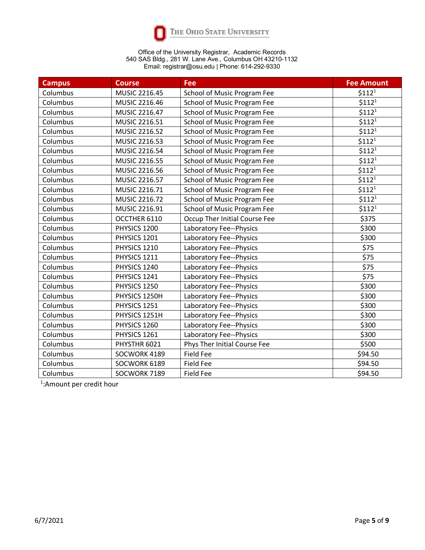

| <b>Campus</b> | <b>Course</b> | <b>Fee</b>                    | <b>Fee Amount</b>  |
|---------------|---------------|-------------------------------|--------------------|
| Columbus      | MUSIC 2216.45 | School of Music Program Fee   | \$112 <sup>1</sup> |
| Columbus      | MUSIC 2216.46 | School of Music Program Fee   | \$112 <sup>1</sup> |
| Columbus      | MUSIC 2216.47 | School of Music Program Fee   | \$112 <sup>1</sup> |
| Columbus      | MUSIC 2216.51 | School of Music Program Fee   | \$112 <sup>1</sup> |
| Columbus      | MUSIC 2216.52 | School of Music Program Fee   | \$112 <sup>1</sup> |
| Columbus      | MUSIC 2216.53 | School of Music Program Fee   | \$112 <sup>1</sup> |
| Columbus      | MUSIC 2216.54 | School of Music Program Fee   | \$112 <sup>1</sup> |
| Columbus      | MUSIC 2216.55 | School of Music Program Fee   | \$112 <sup>1</sup> |
| Columbus      | MUSIC 2216.56 | School of Music Program Fee   | \$112 <sup>1</sup> |
| Columbus      | MUSIC 2216.57 | School of Music Program Fee   | \$112 <sup>1</sup> |
| Columbus      | MUSIC 2216.71 | School of Music Program Fee   | \$112 <sup>1</sup> |
| Columbus      | MUSIC 2216.72 | School of Music Program Fee   | \$112 <sup>1</sup> |
| Columbus      | MUSIC 2216.91 | School of Music Program Fee   | \$112 <sup>1</sup> |
| Columbus      | OCCTHER 6110  | Occup Ther Initial Course Fee | \$375              |
| Columbus      | PHYSICS 1200  | Laboratory Fee--Physics       | \$300              |
| Columbus      | PHYSICS 1201  | Laboratory Fee--Physics       | \$300              |
| Columbus      | PHYSICS 1210  | Laboratory Fee--Physics       | \$75               |
| Columbus      | PHYSICS 1211  | Laboratory Fee--Physics       | \$75               |
| Columbus      | PHYSICS 1240  | Laboratory Fee--Physics       | \$75               |
| Columbus      | PHYSICS 1241  | Laboratory Fee--Physics       | \$75               |
| Columbus      | PHYSICS 1250  | Laboratory Fee--Physics       | \$300              |
| Columbus      | PHYSICS 1250H | Laboratory Fee--Physics       | \$300              |
| Columbus      | PHYSICS 1251  | Laboratory Fee--Physics       | \$300              |
| Columbus      | PHYSICS 1251H | Laboratory Fee--Physics       | \$300              |
| Columbus      | PHYSICS 1260  | Laboratory Fee--Physics       | \$300              |
| Columbus      | PHYSICS 1261  | Laboratory Fee--Physics       | \$300              |
| Columbus      | PHYSTHR 6021  | Phys Ther Initial Course Fee  | \$500              |
| Columbus      | SOCWORK 4189  | <b>Field Fee</b>              | \$94.50            |
| Columbus      | SOCWORK 6189  | <b>Field Fee</b>              | \$94.50            |
| Columbus      | SOCWORK 7189  | <b>Field Fee</b>              | \$94.50            |

<span id="page-4-0"></span>1 :Amount per credit hour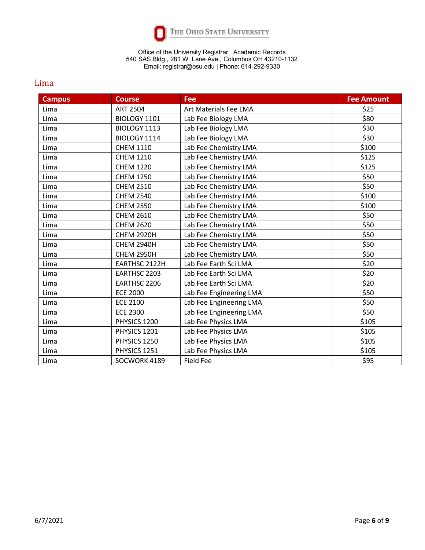

### Lima

<span id="page-5-0"></span>

| <b>Campus</b> | <b>Course</b>     | Fee                     | <b>Fee Amount</b> |
|---------------|-------------------|-------------------------|-------------------|
| Lima          | <b>ART 2504</b>   | Art Materials Fee LMA   | \$25              |
| Lima          | BIOLOGY 1101      | Lab Fee Biology LMA     | \$80              |
| Lima          | BIOLOGY 1113      | Lab Fee Biology LMA     | \$30              |
| Lima          | BIOLOGY 1114      | Lab Fee Biology LMA     | \$30              |
| Lima          | <b>CHEM 1110</b>  | Lab Fee Chemistry LMA   | \$100             |
| Lima          | <b>CHEM 1210</b>  | Lab Fee Chemistry LMA   | \$125             |
| Lima          | <b>CHEM 1220</b>  | Lab Fee Chemistry LMA   | \$125             |
| Lima          | <b>CHEM 1250</b>  | Lab Fee Chemistry LMA   | \$50              |
| Lima          | <b>CHEM 2510</b>  | Lab Fee Chemistry LMA   | \$50              |
| Lima          | <b>CHEM 2540</b>  | Lab Fee Chemistry LMA   | \$100             |
| Lima          | <b>CHEM 2550</b>  | Lab Fee Chemistry LMA   | \$100             |
| Lima          | <b>CHEM 2610</b>  | Lab Fee Chemistry LMA   | \$50              |
| Lima          | <b>CHEM 2620</b>  | Lab Fee Chemistry LMA   | \$50              |
| Lima          | <b>CHEM 2920H</b> | Lab Fee Chemistry LMA   | \$50              |
| Lima          | <b>CHEM 2940H</b> | Lab Fee Chemistry LMA   | \$50              |
| Lima          | <b>CHEM 2950H</b> | Lab Fee Chemistry LMA   | \$50              |
| Lima          | EARTHSC 2122H     | Lab Fee Earth Sci LMA   | \$20              |
| Lima          | EARTHSC 2203      | Lab Fee Earth Sci LMA   | \$20              |
| Lima          | EARTHSC 2206      | Lab Fee Earth Sci LMA   | \$20              |
| Lima          | <b>ECE 2000</b>   | Lab Fee Engineering LMA | \$50              |
| Lima          | <b>ECE 2100</b>   | Lab Fee Engineering LMA | \$50              |
| Lima          | <b>ECE 2300</b>   | Lab Fee Engineering LMA | \$50              |
| Lima          | PHYSICS 1200      | Lab Fee Physics LMA     | \$105             |
| Lima          | PHYSICS 1201      | Lab Fee Physics LMA     | \$105             |
| Lima          | PHYSICS 1250      | Lab Fee Physics LMA     | \$105             |
| Lima          | PHYSICS 1251      | Lab Fee Physics LMA     | \$105             |
| Lima          | SOCWORK 4189      | <b>Field Fee</b>        | \$95              |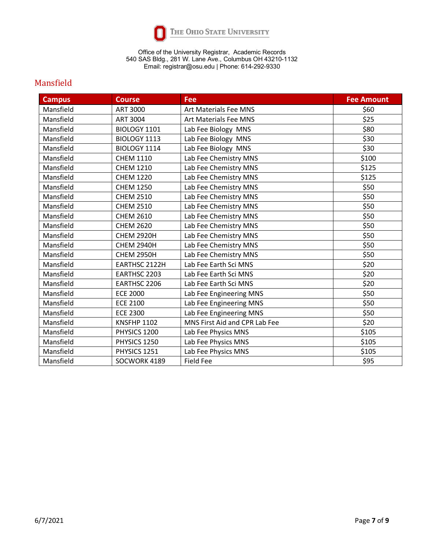

## Mansfield

<span id="page-6-0"></span>

| <b>Campus</b> | <b>Course</b>      | Fee                           | <b>Fee Amount</b> |
|---------------|--------------------|-------------------------------|-------------------|
| Mansfield     | <b>ART 3000</b>    | <b>Art Materials Fee MNS</b>  | \$60              |
| Mansfield     | <b>ART 3004</b>    | <b>Art Materials Fee MNS</b>  | \$25              |
| Mansfield     | BIOLOGY 1101       | Lab Fee Biology MNS           | \$80              |
| Mansfield     | BIOLOGY 1113       | Lab Fee Biology MNS           | \$30              |
| Mansfield     | BIOLOGY 1114       | Lab Fee Biology MNS           | \$30              |
| Mansfield     | <b>CHEM 1110</b>   | Lab Fee Chemistry MNS         | \$100             |
| Mansfield     | <b>CHEM 1210</b>   | Lab Fee Chemistry MNS         | \$125             |
| Mansfield     | <b>CHEM 1220</b>   | Lab Fee Chemistry MNS         | \$125             |
| Mansfield     | <b>CHEM 1250</b>   | Lab Fee Chemistry MNS         | \$50              |
| Mansfield     | <b>CHEM 2510</b>   | Lab Fee Chemistry MNS         | \$50              |
| Mansfield     | <b>CHEM 2510</b>   | Lab Fee Chemistry MNS         | \$50              |
| Mansfield     | <b>CHEM 2610</b>   | Lab Fee Chemistry MNS         | \$50              |
| Mansfield     | <b>CHEM 2620</b>   | Lab Fee Chemistry MNS         | \$50              |
| Mansfield     | <b>CHEM 2920H</b>  | Lab Fee Chemistry MNS         | \$50              |
| Mansfield     | <b>CHEM 2940H</b>  | Lab Fee Chemistry MNS         | \$50              |
| Mansfield     | <b>CHEM 2950H</b>  | Lab Fee Chemistry MNS         | \$50              |
| Mansfield     | EARTHSC 2122H      | Lab Fee Earth Sci MNS         | \$20              |
| Mansfield     | EARTHSC 2203       | Lab Fee Earth Sci MNS         | \$20              |
| Mansfield     | EARTHSC 2206       | Lab Fee Earth Sci MNS         | \$20              |
| Mansfield     | <b>ECE 2000</b>    | Lab Fee Engineering MNS       | \$50              |
| Mansfield     | <b>ECE 2100</b>    | Lab Fee Engineering MNS       | \$50              |
| Mansfield     | <b>ECE 2300</b>    | Lab Fee Engineering MNS       | \$50              |
| Mansfield     | <b>KNSFHP 1102</b> | MNS First Aid and CPR Lab Fee | \$20              |
| Mansfield     | PHYSICS 1200       | Lab Fee Physics MNS           | \$105             |
| Mansfield     | PHYSICS 1250       | Lab Fee Physics MNS           | \$105             |
| Mansfield     | PHYSICS 1251       | Lab Fee Physics MNS           | \$105             |
| Mansfield     | SOCWORK 4189       | <b>Field Fee</b>              | \$95              |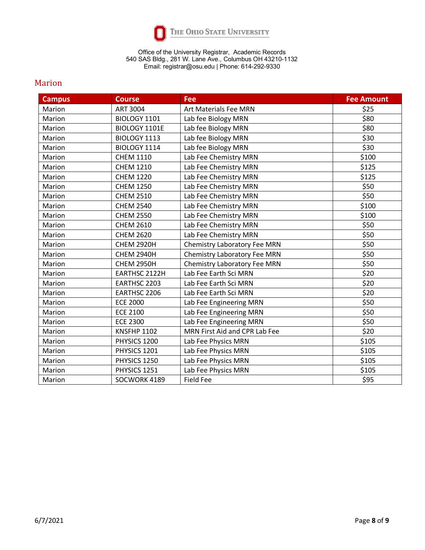

### Marion

<span id="page-7-0"></span>

| <b>Campus</b> | <b>Course</b>      | <b>Fee</b>                          | <b>Fee Amount</b> |
|---------------|--------------------|-------------------------------------|-------------------|
| Marion        | <b>ART 3004</b>    | <b>Art Materials Fee MRN</b>        | \$25              |
| Marion        | BIOLOGY 1101       | Lab fee Biology MRN                 | \$80              |
| Marion        | BIOLOGY 1101E      | Lab fee Biology MRN                 | \$80              |
| Marion        | BIOLOGY 1113       | Lab fee Biology MRN                 | \$30              |
| Marion        | BIOLOGY 1114       | Lab fee Biology MRN                 | \$30              |
| Marion        | <b>CHEM 1110</b>   | Lab Fee Chemistry MRN               | \$100             |
| Marion        | <b>CHEM 1210</b>   | Lab Fee Chemistry MRN               | \$125             |
| Marion        | <b>CHEM 1220</b>   | Lab Fee Chemistry MRN               | \$125             |
| Marion        | <b>CHEM 1250</b>   | Lab Fee Chemistry MRN               | \$50              |
| Marion        | <b>CHEM 2510</b>   | Lab Fee Chemistry MRN               | \$50              |
| Marion        | <b>CHEM 2540</b>   | Lab Fee Chemistry MRN               | \$100             |
| Marion        | <b>CHEM 2550</b>   | Lab Fee Chemistry MRN               | \$100             |
| Marion        | <b>CHEM 2610</b>   | Lab Fee Chemistry MRN               | \$50              |
| Marion        | <b>CHEM 2620</b>   | Lab Fee Chemistry MRN               | \$50              |
| Marion        | <b>CHEM 2920H</b>  | <b>Chemistry Laboratory Fee MRN</b> | \$50              |
| Marion        | <b>CHEM 2940H</b>  | <b>Chemistry Laboratory Fee MRN</b> | \$50              |
| Marion        | <b>CHEM 2950H</b>  | Chemistry Laboratory Fee MRN        | \$50              |
| Marion        | EARTHSC 2122H      | Lab Fee Earth Sci MRN               | \$20              |
| Marion        | EARTHSC 2203       | Lab Fee Earth Sci MRN               | \$20              |
| Marion        | EARTHSC 2206       | Lab Fee Earth Sci MRN               | \$20              |
| Marion        | <b>ECE 2000</b>    | Lab Fee Engineering MRN             | \$50              |
| Marion        | <b>ECE 2100</b>    | Lab Fee Engineering MRN             | \$50              |
| Marion        | <b>ECE 2300</b>    | Lab Fee Engineering MRN             | \$50              |
| Marion        | <b>KNSFHP 1102</b> | MRN First Aid and CPR Lab Fee       | \$20              |
| Marion        | PHYSICS 1200       | Lab Fee Physics MRN                 | \$105             |
| Marion        | PHYSICS 1201       | Lab Fee Physics MRN                 | \$105             |
| Marion        | PHYSICS 1250       | Lab Fee Physics MRN                 | \$105             |
| Marion        | PHYSICS 1251       | Lab Fee Physics MRN                 | \$105             |
| Marion        | SOCWORK 4189       | <b>Field Fee</b>                    | \$95              |